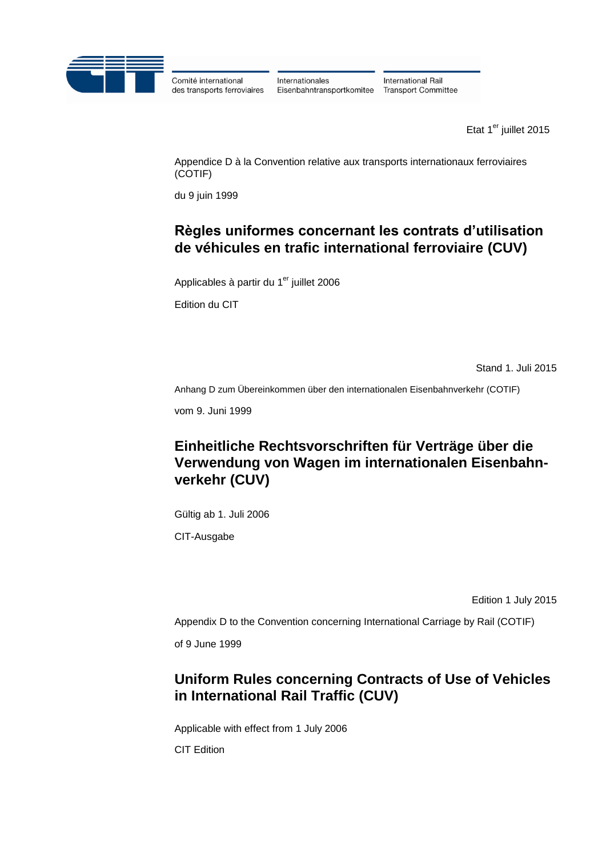

Comité international des transports ferroviaires Internationales Eisenbahntransportkomitee

International Rail **Transport Committee** 

Etat  $1<sup>er</sup>$  juillet 2015

Appendice D à la Convention relative aux transports internationaux ferroviaires (COTIF)

du 9 juin 1999

## **Règles uniformes concernant les contrats d'utilisation de véhicules en trafic international ferroviaire (CUV)**

Applicables à partir du 1<sup>er</sup> juillet 2006

Edition du CIT

Stand 1. Juli 2015

Anhang D zum Übereinkommen über den internationalen Eisenbahnverkehr (COTIF)

vom 9. Juni 1999

# **Einheitliche Rechtsvorschriften für Verträge über die Verwendung von Wagen im internationalen Eisenbahnverkehr (CUV)**

Gültig ab 1. Juli 2006

CIT-Ausgabe

Edition 1 July 2015

Appendix D to the Convention concerning International Carriage by Rail (COTIF)

of 9 June 1999

# **Uniform Rules concerning Contracts of Use of Vehicles in International Rail Traffic (CUV)**

Applicable with effect from 1 July 2006 CIT Edition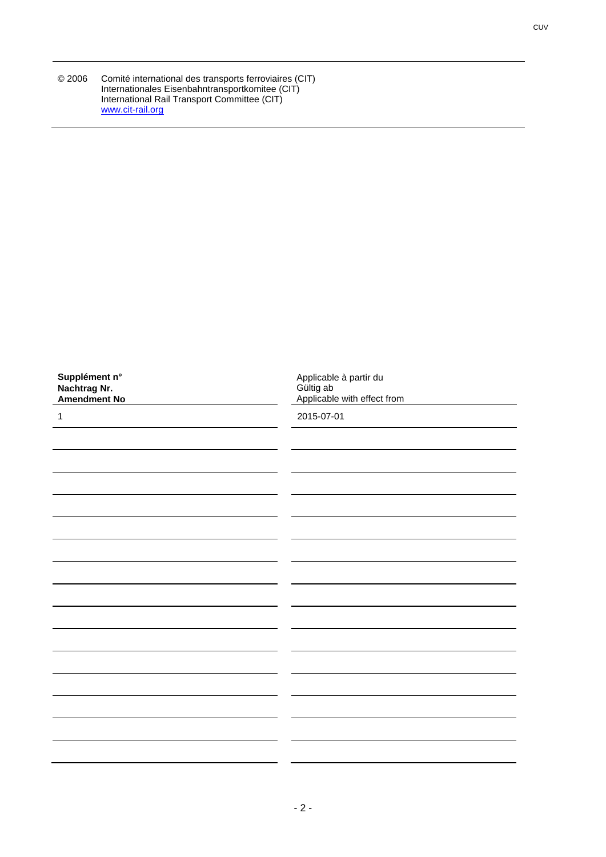| © 2006 | Comité international des transports ferroviaires (CIT) |
|--------|--------------------------------------------------------|
|        | Internationales Eisenbahntransportkomitee (CIT)        |
|        | International Rail Transport Committee (CIT)           |
|        | www.cit-rail.org                                       |

| Supplément n°<br>Nachtrag Nr.<br>Amendment No | Applicable à partir du<br>Gültig ab<br>Applicable with effect from |
|-----------------------------------------------|--------------------------------------------------------------------|
| 1                                             | 2015-07-01                                                         |
|                                               |                                                                    |
|                                               |                                                                    |
|                                               |                                                                    |
|                                               |                                                                    |
|                                               |                                                                    |
|                                               |                                                                    |
|                                               |                                                                    |
|                                               |                                                                    |
|                                               |                                                                    |
|                                               |                                                                    |
|                                               |                                                                    |
|                                               |                                                                    |
|                                               |                                                                    |
|                                               |                                                                    |
|                                               |                                                                    |
|                                               |                                                                    |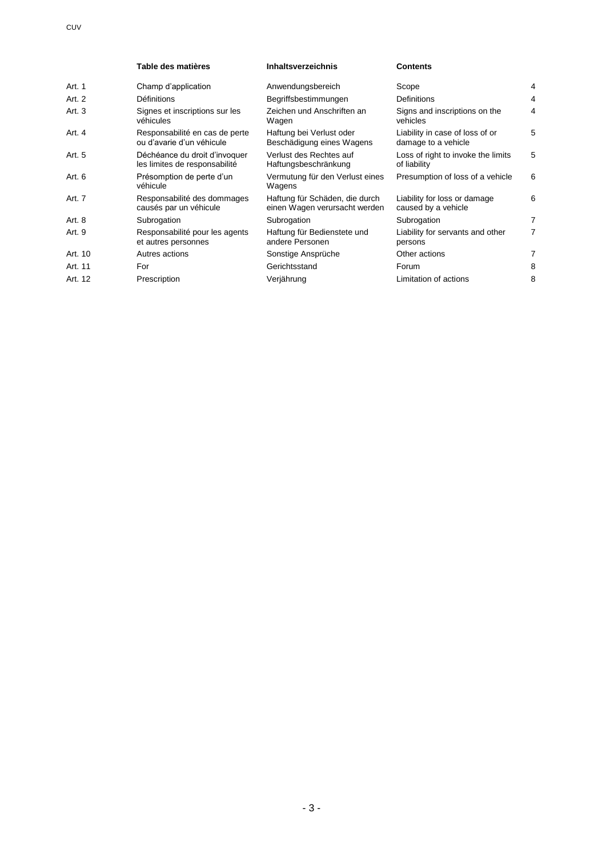|         | Table des matières                                             | <b>Inhaltsverzeichnis</b>                                       | <b>Contents</b>                                        |                |
|---------|----------------------------------------------------------------|-----------------------------------------------------------------|--------------------------------------------------------|----------------|
| Art. 1  | Champ d'application                                            | Anwendungsbereich                                               | Scope                                                  | 4              |
| Art. 2  | <b>Définitions</b>                                             | Begriffsbestimmungen                                            | <b>Definitions</b>                                     | $\overline{4}$ |
| Art.3   | Signes et inscriptions sur les<br>véhicules                    | Zeichen und Anschriften an<br>Wagen                             | Signs and inscriptions on the<br>vehicles              | 4              |
| Art. 4  | Responsabilité en cas de perte<br>ou d'avarie d'un véhicule    | Haftung bei Verlust oder<br>Beschädigung eines Wagens           | Liability in case of loss of or<br>damage to a vehicle | 5              |
| Art. 5  | Déchéance du droit d'invoquer<br>les limites de responsabilité | Verlust des Rechtes auf<br>Haftungsbeschränkung                 | Loss of right to invoke the limits<br>of liability     | 5              |
| Art. 6  | Présomption de perte d'un<br>véhicule                          | Vermutung für den Verlust eines<br>Wagens                       | Presumption of loss of a vehicle                       | 6              |
| Art. 7  | Responsabilité des dommages<br>causés par un véhicule          | Haftung für Schäden, die durch<br>einen Wagen verursacht werden | Liability for loss or damage<br>caused by a vehicle    | 6              |
| Art. 8  | Subrogation                                                    | Subrogation                                                     | Subrogation                                            | 7              |
| Art. 9  | Responsabilité pour les agents<br>et autres personnes          | Haftung für Bedienstete und<br>andere Personen                  | Liability for servants and other<br>persons            | 7              |
| Art. 10 | Autres actions                                                 | Sonstige Ansprüche                                              | Other actions                                          | 7              |
| Art. 11 | For                                                            | Gerichtsstand                                                   | Forum                                                  | 8              |
| Art. 12 | Prescription                                                   | Verjährung                                                      | Limitation of actions                                  | 8              |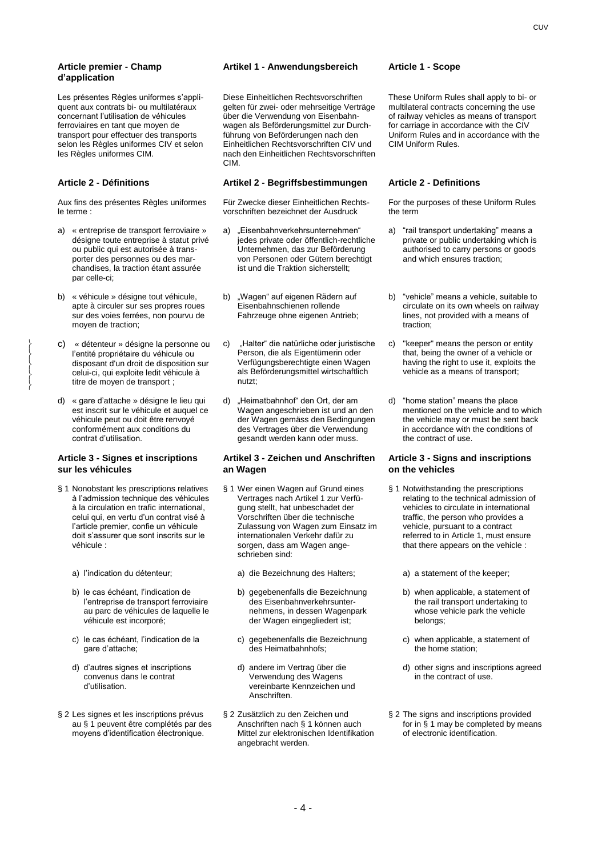#### **Article premier - Champ d'application**

Les présentes Règles uniformes s'appliquent aux contrats bi- ou multilatéraux concernant l'utilisation de véhicules ferroviaires en tant que moyen de transport pour effectuer des transports selon les Règles uniformes CIV et selon les Règles uniformes CIM.

 $\left\{ \right.$  $\left\{ \right.$  $\left\{ \right.$  $\left\{ \right.$  $\left\{ \right.$ 

Aux fins des présentes Règles uniformes le terme :

- a) « entreprise de transport ferroviaire » désigne toute entreprise à statut privé ou public qui est autorisée à transporter des personnes ou des marchandises, la traction étant assurée par celle-ci;
- b) « véhicule » désigne tout véhicule, apte à circuler sur ses propres roues sur des voies ferrées, non pourvu de moyen de traction;
- c) « détenteur » désigne la personne ou l'entité propriétaire du véhicule ou disposant d'un droit de disposition sur celui-ci, qui exploite ledit véhicule à titre de moyen de transport ;
- d) « gare d'attache » désigne le lieu qui est inscrit sur le véhicule et auquel ce véhicule peut ou doit être renvoyé conformément aux conditions du contrat d'utilisation.

### **Article 3 - Signes et inscriptions sur les véhicules**

- § 1 Nonobstant les prescriptions relatives à l'admission technique des véhicules à la circulation en trafic international, celui qui, en vertu d'un contrat visé à l'article premier, confie un véhicule doit s'assurer que sont inscrits sur le véhicule :
	-
	- b) le cas échéant, l'indication de l'entreprise de transport ferroviaire au parc de véhicules de laquelle le véhicule est incorporé;
	- c) le cas échéant, l'indication de la gare d'attache;
	- d) d'autres signes et inscriptions convenus dans le contrat d'utilisation.
- § 2 Les signes et les inscriptions prévus au § 1 peuvent être complétés par des moyens d'identification électronique.

#### **Artikel 1 - Anwendungsbereich Article 1 - Scope**

Diese Einheitlichen Rechtsvorschriften gelten für zwei- oder mehrseitige Verträge über die Verwendung von Eisenbahnwagen als Beförderungsmittel zur Durchführung von Beförderungen nach den Einheitlichen Rechtsvorschriften CIV und nach den Einheitlichen Rechtsvorschriften CIM.

### **Article 2 - Définitions Artikel 2 - Begriffsbestimmungen Article 2 - Definitions**

Für Zwecke dieser Einheitlichen Rechtsvorschriften bezeichnet der Ausdruck

- a) "Eisenbahnverkehrsunternehmen" jedes private oder öffentlich-rechtliche Unternehmen, das zur Beförderung von Personen oder Gütern berechtigt ist und die Traktion sicherstellt;
- b) "Wagen" auf eigenen Rädern auf Eisenbahnschienen rollende Fahrzeuge ohne eigenen Antrieb;
- c) "Halter" die natürliche oder juristische Person, die als Eigentümerin oder Verfügungsberechtigte einen Wagen als Beförderungsmittel wirtschaftlich nutzt;
- d) "Heimatbahnhof" den Ort, der am Wagen angeschrieben ist und an den der Wagen gemäss den Bedingungen des Vertrages über die Verwendung gesandt werden kann oder muss.

#### **Artikel 3 - Zeichen und Anschriften an Wagen**

- § 1 Wer einen Wagen auf Grund eines Vertrages nach Artikel 1 zur Verfügung stellt, hat unbeschadet der Vorschriften über die technische Zulassung von Wagen zum Einsatz im internationalen Verkehr dafür zu sorgen, dass am Wagen angeschrieben sind:
- a) l'indication du détenteur; a) die Bezeichnung des Halters; a) a statement of the keeper;
	- b) gegebenenfalls die Bezeichnung des Eisenbahnverkehrsunternehmens, in dessen Wagenpark der Wagen eingegliedert ist;
	- c) gegebenenfalls die Bezeichnung des Heimatbahnhofs;
	- d) andere im Vertrag über die Verwendung des Wagens vereinbarte Kennzeichen und Anschriften.
	- § 2 Zusätzlich zu den Zeichen und Anschriften nach § 1 können auch Mittel zur elektronischen Identifikation angebracht werden.

These Uniform Rules shall apply to bi- or multilateral contracts concerning the use of railway vehicles as means of transport for carriage in accordance with the CIV Uniform Rules and in accordance with the CIM Uniform Rules.

For the purposes of these Uniform Rules the term

- a) "rail transport undertaking" means a private or public undertaking which is authorised to carry persons or goods and which ensures traction;
- b) "vehicle" means a vehicle, suitable to circulate on its own wheels on railway lines, not provided with a means of traction;
- c) "keeper" means the person or entity that, being the owner of a vehicle or having the right to use it, exploits the vehicle as a means of transport;
- d) "home station" means the place mentioned on the vehicle and to which the vehicle may or must be sent back in accordance with the conditions of the contract of use.

#### **Article 3 - Signs and inscriptions on the vehicles**

§ 1 Notwithstanding the prescriptions relating to the technical admission of vehicles to circulate in international traffic, the person who provides a vehicle, pursuant to a contract referred to in Article 1, must ensure that there appears on the vehicle :

- b) when applicable, a statement of the rail transport undertaking to whose vehicle park the vehicle belongs;
- c) when applicable, a statement of the home station;
- d) other signs and inscriptions agreed in the contract of use.
- § 2 The signs and inscriptions provided for in § 1 may be completed by means of electronic identification.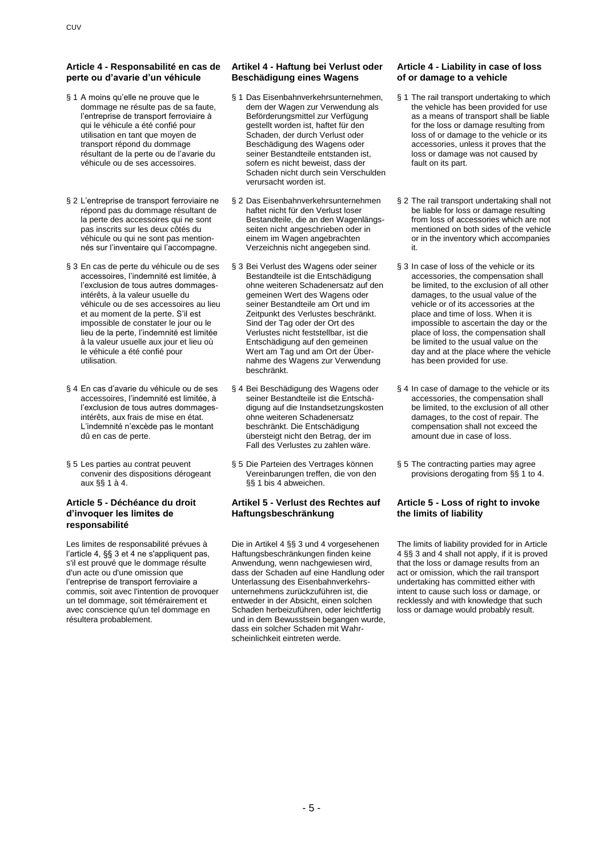### **Article 4 - Responsabilité en cas de perte ou d'avarie d'un véhicule**

- § 1 A moins qu'elle ne prouve que le dommage ne résulte pas de sa faute, l'entreprise de transport ferroviaire à qui le véhicule a été confié pour utilisation en tant que moyen de transport répond du dommage résultant de la perte ou de l'avarie du véhicule ou de ses accessoires.
- § 2 L'entreprise de transport ferroviaire ne répond pas du dommage résultant de la perte des accessoires qui ne sont pas inscrits sur les deux côtés du véhicule ou qui ne sont pas mentionnés sur l'inventaire qui l'accompagne.
- § 3 En cas de perte du véhicule ou de ses accessoires, l'indemnité est limitée, à l'exclusion de tous autres dommagesintérêts, à la valeur usuelle du véhicule ou de ses accessoires au lieu et au moment de la perte. S'il est impossible de constater le jour ou le lieu de la perte, l'indemnité est limitée à la valeur usuelle aux jour et lieu où le véhicule a été confié pour utilisation.
- § 4 En cas d'avarie du véhicule ou de ses accessoires, l'indemnité est limitée, à l'exclusion de tous autres dommagesintérêts, aux frais de mise en état. L'indemnité n'excède pas le montant dû en cas de perte.
- § 5 Les parties au contrat peuvent convenir des dispositions dérogeant aux §§ 1 à 4.

### **Article 5 - Déchéance du droit d'invoquer les limites de responsabilité**

Les limites de responsabilité prévues à l'article 4, §§ 3 et 4 ne s'appliquent pas, s'il est prouvé que le dommage résulte d'un acte ou d'une omission que l'entreprise de transport ferroviaire a commis, soit avec l'intention de provoquer un tel dommage, soit témérairement et avec conscience qu'un tel dommage en résultera probablement.

### **Artikel 4 - Haftung bei Verlust oder Beschädigung eines Wagens**

- § 1 Das Eisenbahnverkehrsunternehmen, dem der Wagen zur Verwendung als Beförderungsmittel zur Verfügung gestellt worden ist, haftet für den Schaden, der durch Verlust oder Beschädigung des Wagens oder seiner Bestandteile entstanden ist, sofern es nicht beweist, dass der Schaden nicht durch sein Verschulden verursacht worden ist.
- § 2 Das Eisenbahnverkehrsunternehmen haftet nicht für den Verlust loser Bestandteile, die an den Wagenlängsseiten nicht angeschrieben oder in einem im Wagen angebrachten Verzeichnis nicht angegeben sind.
- § 3 Bei Verlust des Wagens oder seiner Bestandteile ist die Entschädigung ohne weiteren Schadenersatz auf den gemeinen Wert des Wagens oder seiner Bestandteile am Ort und im Zeitpunkt des Verlustes beschränkt. Sind der Tag oder der Ort des Verlustes nicht feststellbar, ist die Entschädigung auf den gemeinen Wert am Tag und am Ort der Übernahme des Wagens zur Verwendung beschränkt.
- § 4 Bei Beschädigung des Wagens oder seiner Bestandteile ist die Entschädigung auf die Instandsetzungskosten ohne weiteren Schadenersatz beschränkt. Die Entschädigung übersteigt nicht den Betrag, der im Fall des Verlustes zu zahlen wäre.
- § 5 Die Parteien des Vertrages können Vereinbarungen treffen, die von den §§ 1 bis 4 abweichen.

### **Artikel 5 - Verlust des Rechtes auf Haftungsbeschränkung**

Die in Artikel 4 §§ 3 und 4 vorgesehenen Haftungsbeschränkungen finden keine Anwendung, wenn nachgewiesen wird, dass der Schaden auf eine Handlung oder Unterlassung des Eisenbahnverkehrsunternehmens zurückzuführen ist, die entweder in der Absicht, einen solchen Schaden herbeizuführen, oder leichtfertig und in dem Bewusstsein begangen wurde, dass ein solcher Schaden mit Wahrscheinlichkeit eintreten werde.

### **Article 4 - Liability in case of loss of or damage to a vehicle**

- § 1 The rail transport undertaking to which the vehicle has been provided for use as a means of transport shall be liable for the loss or damage resulting from loss of or damage to the vehicle or its accessories, unless it proves that the loss or damage was not caused by fault on its part.
- § 2 The rail transport undertaking shall not be liable for loss or damage resulting from loss of accessories which are not mentioned on both sides of the vehicle or in the inventory which accompanies it.
- § 3 In case of loss of the vehicle or its accessories, the compensation shall be limited, to the exclusion of all other damages, to the usual value of the vehicle or of its accessories at the place and time of loss. When it is impossible to ascertain the day or the place of loss, the compensation shall be limited to the usual value on the day and at the place where the vehicle has been provided for use.
- § 4 In case of damage to the vehicle or its accessories, the compensation shall be limited, to the exclusion of all other damages, to the cost of repair. The compensation shall not exceed the amount due in case of loss.
- § 5 The contracting parties may agree provisions derogating from §§ 1 to 4.

### **Article 5 - Loss of right to invoke the limits of liability**

The limits of liability provided for in Article 4 §§ 3 and 4 shall not apply, if it is proved that the loss or damage results from an act or omission, which the rail transport undertaking has committed either with intent to cause such loss or damage, or recklessly and with knowledge that such loss or damage would probably result.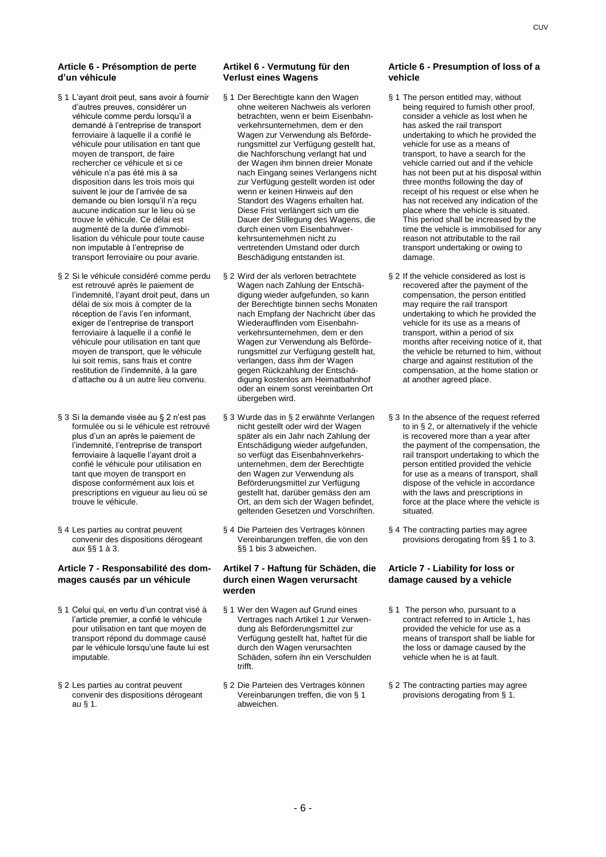#### **Article 6 - Présomption de perte d'un véhicule**

- § 1 L'ayant droit peut, sans avoir à fournir d'autres preuves, considérer un véhicule comme perdu lorsqu'il a demandé à l'entreprise de transport ferroviaire à laquelle il a confié le véhicule pour utilisation en tant que moyen de transport, de faire rechercher ce véhicule et si ce véhicule n'a pas été mis à sa disposition dans les trois mois qui suivent le jour de l'arrivée de sa demande ou bien lorsqu'il n'a reçu aucune indication sur le lieu où se trouve le véhicule. Ce délai est augmenté de la durée d'immobilisation du véhicule pour toute cause non imputable à l'entreprise de transport ferroviaire ou pour avarie.
- § 2 Si le véhicule considéré comme perdu est retrouvé après le paiement de l'indemnité, l'ayant droit peut, dans un délai de six mois à compter de la réception de l'avis l'en informant, exiger de l'entreprise de transport ferroviaire à laquelle il a confié le véhicule pour utilisation en tant que moyen de transport, que le véhicule lui soit remis, sans frais et contre restitution de l'indemnité, à la gare d'attache ou à un autre lieu convenu.
- § 3 Si la demande visée au § 2 n'est pas formulée ou si le véhicule est retrouvé plus d'un an après le paiement de l'indemnité, l'entreprise de transport ferroviaire à laquelle l'ayant droit a confié le véhicule pour utilisation en tant que moyen de transport en dispose conformément aux lois et prescriptions en vigueur au lieu où se trouve le véhicule.
- § 4 Les parties au contrat peuvent convenir des dispositions dérogeant aux §§ 1 à 3.

### **Article 7 - Responsabilité des dommages causés par un véhicule**

- § 1 Celui qui, en vertu d'un contrat visé à l'article premier, a confié le véhicule pour utilisation en tant que moyen de transport répond du dommage causé par le véhicule lorsqu'une faute lui est imputable.
- § 2 Les parties au contrat peuvent convenir des dispositions dérogeant au § 1.

### **Artikel 6 - Vermutung für den Verlust eines Wagens**

- § 1 Der Berechtigte kann den Wagen ohne weiteren Nachweis als verloren betrachten, wenn er beim Eisenbahnverkehrsunternehmen, dem er den Wagen zur Verwendung als Beförderungsmittel zur Verfügung gestellt hat, die Nachforschung verlangt hat und der Wagen ihm binnen dreier Monate nach Eingang seines Verlangens nicht zur Verfügung gestellt worden ist oder wenn er keinen Hinweis auf den Standort des Wagens erhalten hat. Diese Frist verlängert sich um die Dauer der Stillegung des Wagens, die durch einen vom Eisenbahnverkehrsunternehmen nicht zu vertretenden Umstand oder durch Beschädigung entstanden ist.
- § 2 Wird der als verloren betrachtete Wagen nach Zahlung der Entschädigung wieder aufgefunden, so kann der Berechtigte binnen sechs Monaten nach Empfang der Nachricht über das Wiederauffinden vom Eisenbahnverkehrsunternehmen, dem er den Wagen zur Verwendung als Beförderungsmittel zur Verfügung gestellt hat, verlangen, dass ihm der Wagen gegen Rückzahlung der Entschädigung kostenlos am Heimatbahnhof oder an einem sonst vereinbarten Ort übergeben wird.
- § 3 Wurde das in § 2 erwähnte Verlangen nicht gestellt oder wird der Wagen später als ein Jahr nach Zahlung der Entschädigung wieder aufgefunden, so verfügt das Eisenbahnverkehrsunternehmen, dem der Berechtigte den Wagen zur Verwendung als Beförderungsmittel zur Verfügung gestellt hat, darüber gemäss den am Ort, an dem sich der Wagen befindet, geltenden Gesetzen und Vorschriften.
- § 4 Die Parteien des Vertrages können Vereinbarungen treffen, die von den §§ 1 bis 3 abweichen.

### **Artikel 7 - Haftung für Schäden, die durch einen Wagen verursacht werden**

- § 1 Wer den Wagen auf Grund eines Vertrages nach Artikel 1 zur Verwendung als Beförderungsmittel zur Verfügung gestellt hat, haftet für die durch den Wagen verursachten Schäden, sofern ihn ein Verschulden trifft.
- § 2 Die Parteien des Vertrages können Vereinbarungen treffen, die von § 1 abweichen.

#### **Article 6 - Presumption of loss of a vehicle**

- § 1 The person entitled may, without being required to furnish other proof, consider a vehicle as lost when he has asked the rail transport undertaking to which he provided the vehicle for use as a means of transport, to have a search for the vehicle carried out and if the vehicle has not been put at his disposal within three months following the day of receipt of his request or else when he has not received any indication of the place where the vehicle is situated. This period shall be increased by the time the vehicle is immobilised for any reason not attributable to the rail transport undertaking or owing to damage.
- § 2 If the vehicle considered as lost is recovered after the payment of the compensation, the person entitled may require the rail transport undertaking to which he provided the vehicle for its use as a means of transport, within a period of six months after receiving notice of it, that the vehicle be returned to him, without charge and against restitution of the compensation, at the home station or at another agreed place.
- § 3 In the absence of the request referred to in § 2, or alternatively if the vehicle is recovered more than a year after the payment of the compensation, the rail transport undertaking to which the person entitled provided the vehicle for use as a means of transport, shall dispose of the vehicle in accordance with the laws and prescriptions in force at the place where the vehicle is situated.
- § 4 The contracting parties may agree provisions derogating from §§ 1 to 3.

### **Article 7 - Liability for loss or damage caused by a vehicle**

- § 1 The person who, pursuant to a contract referred to in Article 1, has provided the vehicle for use as a means of transport shall be liable for the loss or damage caused by the vehicle when he is at fault.
- § 2 The contracting parties may agree provisions derogating from § 1.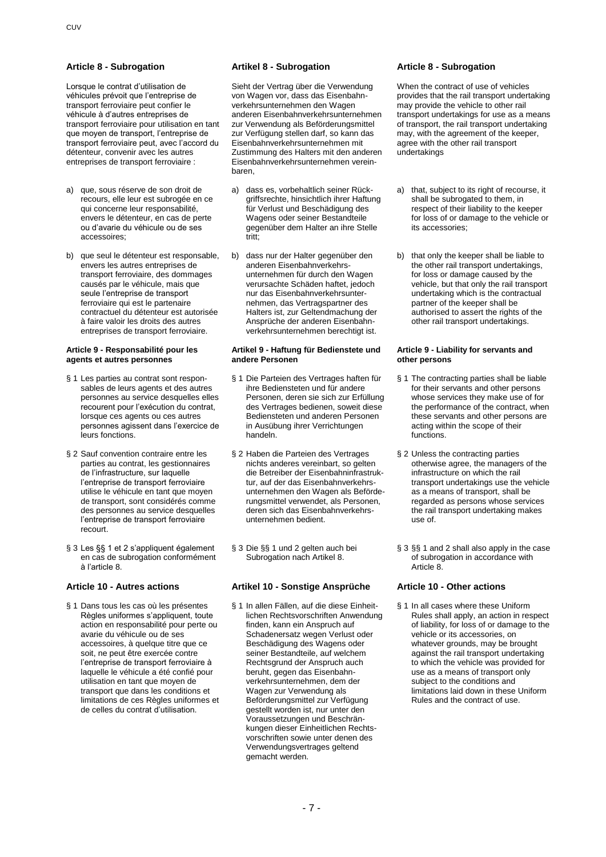Lorsque le contrat d'utilisation de véhicules prévoit que l'entreprise de transport ferroviaire peut confier le véhicule à d'autres entreprises de transport ferroviaire pour utilisation en tant que moyen de transport, l'entreprise de transport ferroviaire peut, avec l'accord du détenteur, convenir avec les autres entreprises de transport ferroviaire :

- a) que, sous réserve de son droit de recours, elle leur est subrogée en ce qui concerne leur responsabilité, envers le détenteur, en cas de perte ou d'avarie du véhicule ou de ses accessoires;
- b) que seul le détenteur est responsable, envers les autres entreprises de transport ferroviaire, des dommages causés par le véhicule, mais que seule l'entreprise de transport ferroviaire qui est le partenaire contractuel du détenteur est autorisée à faire valoir les droits des autres entreprises de transport ferroviaire.

#### **Article 9 - Responsabilité pour les agents et autres personnes**

- § 1 Les parties au contrat sont responsables de leurs agents et des autres personnes au service desquelles elles recourent pour l'exécution du contrat, lorsque ces agents ou ces autres personnes agissent dans l'exercice de leurs fonctions.
- § 2 Sauf convention contraire entre les parties au contrat, les gestionnaires de l'infrastructure, sur laquelle l'entreprise de transport ferroviaire utilise le véhicule en tant que moyen de transport, sont considérés comme des personnes au service desquelles l'entreprise de transport ferroviaire recourt.
- § 3 Les §§ 1 et 2 s'appliquent également en cas de subrogation conformément à l'article 8.

§ 1 Dans tous les cas où les présentes Règles uniformes s'appliquent, toute action en responsabilité pour perte ou avarie du véhicule ou de ses accessoires, à quelque titre que ce soit, ne peut être exercée contre l'entreprise de transport ferroviaire à laquelle le véhicule a été confié pour utilisation en tant que moyen de transport que dans les conditions et limitations de ces Règles uniformes et de celles du contrat d'utilisation.

#### **Article 8 - Subrogation Artikel 8 - Subrogation Article 8 - Subrogation**

Sieht der Vertrag über die Verwendung von Wagen vor, dass das Eisenbahnverkehrsunternehmen den Wagen anderen Eisenbahnverkehrsunternehmen zur Verwendung als Beförderungsmittel zur Verfügung stellen darf, so kann das Eisenbahnverkehrsunternehmen mit Zustimmung des Halters mit den anderen Eisenbahnverkehrsunternehmen vereinbaren,

- a) dass es, vorbehaltlich seiner Rückgriffsrechte, hinsichtlich ihrer Haftung für Verlust und Beschädigung des Wagens oder seiner Bestandteile gegenüber dem Halter an ihre Stelle tritt;
- b) dass nur der Halter gegenüber den anderen Eisenbahnverkehrsunternehmen für durch den Wagen verursachte Schäden haftet, jedoch nur das Eisenbahnverkehrsunternehmen, das Vertragspartner des Halters ist, zur Geltendmachung der Ansprüche der anderen Eisenbahnverkehrsunternehmen berechtigt ist.

#### **Artikel 9 - Haftung für Bedienstete und andere Personen**

- § 1 Die Parteien des Vertrages haften für ihre Bediensteten und für andere Personen, deren sie sich zur Erfüllung des Vertrages bedienen, soweit diese Bediensteten und anderen Personen in Ausübung ihrer Verrichtungen handeln.
- § 2 Haben die Parteien des Vertrages nichts anderes vereinbart, so gelten die Betreiber der Eisenbahninfrastruktur, auf der das Eisenbahnverkehrsunternehmen den Wagen als Beförderungsmittel verwendet, als Personen, deren sich das Eisenbahnverkehrsunternehmen bedient.
- § 3 Die §§ 1 und 2 gelten auch bei Subrogation nach Artikel 8.

### **Article 10 - Autres actions Artikel 10 - Sonstige Ansprüche Article 10 - Other actions**

§ 1 In allen Fällen, auf die diese Einheitlichen Rechtsvorschriften Anwendung finden, kann ein Anspruch auf Schadenersatz wegen Verlust oder Beschädigung des Wagens oder seiner Bestandteile, auf welchem Rechtsgrund der Anspruch auch beruht, gegen das Eisenbahnverkehrsunternehmen, dem der Wagen zur Verwendung als Beförderungsmittel zur Verfügung gestellt worden ist, nur unter den Voraussetzungen und Beschränkungen dieser Einheitlichen Rechtsvorschriften sowie unter denen des Verwendungsvertrages geltend gemacht werden.

When the contract of use of vehicles provides that the rail transport undertaking may provide the vehicle to other rail transport undertakings for use as a means of transport, the rail transport undertaking may, with the agreement of the keeper, agree with the other rail transport undertakings

- a) that, subject to its right of recourse, it shall be subrogated to them, in respect of their liability to the keeper for loss of or damage to the vehicle or its accessories;
- b) that only the keeper shall be liable to the other rail transport undertakings, for loss or damage caused by the vehicle, but that only the rail transport undertaking which is the contractual partner of the keeper shall be authorised to assert the rights of the other rail transport undertakings.

#### **Article 9 - Liability for servants and other persons**

- § 1 The contracting parties shall be liable for their servants and other persons whose services they make use of for the performance of the contract, when these servants and other persons are acting within the scope of their functions.
- § 2 Unless the contracting parties otherwise agree, the managers of the infrastructure on which the rail transport undertakings use the vehicle as a means of transport, shall be regarded as persons whose services the rail transport undertaking makes use of.
- § 3 §§ 1 and 2 shall also apply in the case of subrogation in accordance with Article 8.

§ 1 In all cases where these Uniform Rules shall apply, an action in respect of liability, for loss of or damage to the vehicle or its accessories, on whatever grounds, may be brought against the rail transport undertaking to which the vehicle was provided for use as a means of transport only subject to the conditions and limitations laid down in these Uniform Rules and the contract of use.